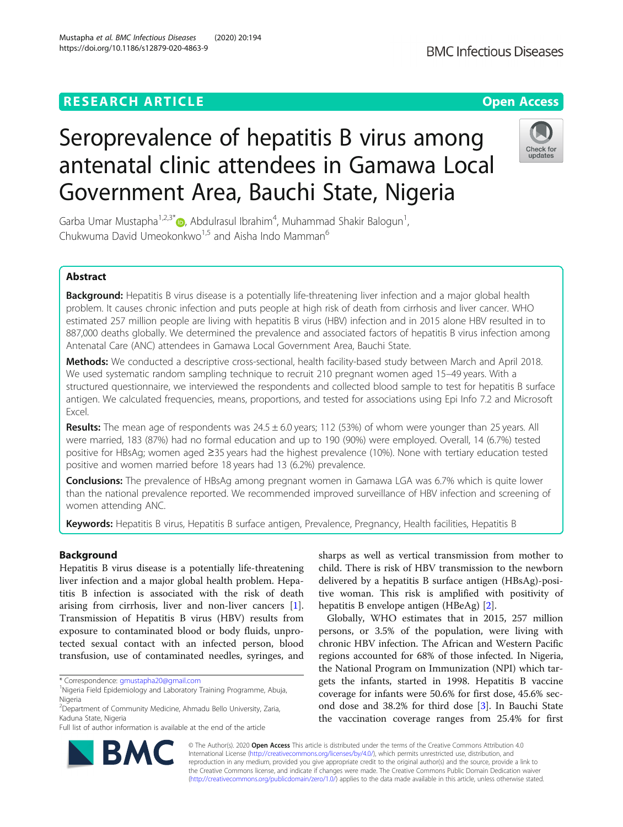# **RESEARCH ARTICLE Example 2014 12:30 The Contract of Contract ACCESS**

# Seroprevalence of hepatitis B virus among antenatal clinic attendees in Gamawa Local Government Area, Bauchi State, Nigeria

Garba Umar Mustapha<sup>1,2,3[\\*](http://orcid.org/0000-0003-1781-4564)</sup> $\textsf{D}$ , Abdulrasul Ibrahim<sup>4</sup>, Muhammad Shakir Balogun<sup>1</sup> , Chukwuma David Umeokonkwo<sup>1,5</sup> and Aisha Indo Mamman<sup>6</sup>

# Abstract

Background: Hepatitis B virus disease is a potentially life-threatening liver infection and a major global health problem. It causes chronic infection and puts people at high risk of death from cirrhosis and liver cancer. WHO estimated 257 million people are living with hepatitis B virus (HBV) infection and in 2015 alone HBV resulted in to 887,000 deaths globally. We determined the prevalence and associated factors of hepatitis B virus infection among Antenatal Care (ANC) attendees in Gamawa Local Government Area, Bauchi State.

Methods: We conducted a descriptive cross-sectional, health facility-based study between March and April 2018. We used systematic random sampling technique to recruit 210 pregnant women aged 15–49 years. With a structured questionnaire, we interviewed the respondents and collected blood sample to test for hepatitis B surface antigen. We calculated frequencies, means, proportions, and tested for associations using Epi Info 7.2 and Microsoft Excel.

Results: The mean age of respondents was  $24.5 \pm 6.0$  years; 112 (53%) of whom were younger than 25 years. All were married, 183 (87%) had no formal education and up to 190 (90%) were employed. Overall, 14 (6.7%) tested positive for HBsAg; women aged ≥35 years had the highest prevalence (10%). None with tertiary education tested positive and women married before 18 years had 13 (6.2%) prevalence.

**Conclusions:** The prevalence of HBsAg among pregnant women in Gamawa LGA was 6.7% which is quite lower than the national prevalence reported. We recommended improved surveillance of HBV infection and screening of women attending ANC.

Keywords: Hepatitis B virus, Hepatitis B surface antigen, Prevalence, Pregnancy, Health facilities, Hepatitis B

# Background

Hepatitis B virus disease is a potentially life-threatening liver infection and a major global health problem. Hepatitis B infection is associated with the risk of death arising from cirrhosis, liver and non-liver cancers [\[1](#page-4-0)]. Transmission of Hepatitis B virus (HBV) results from exposure to contaminated blood or body fluids, unprotected sexual contact with an infected person, blood transfusion, use of contaminated needles, syringes, and

\* Correspondence: [gmustapha20@gmail.com](mailto:gmustapha20@gmail.com) <sup>1</sup>

2 Department of Community Medicine, Ahmadu Bello University, Zaria, Kaduna State, Nigeria

Full list of author information is available at the end of the article

sharps as well as vertical transmission from mother to child. There is risk of HBV transmission to the newborn delivered by a hepatitis B surface antigen (HBsAg)-positive woman. This risk is amplified with positivity of hepatitis B envelope antigen (HBeAg) [[2\]](#page-4-0).

Globally, WHO estimates that in 2015, 257 million persons, or 3.5% of the population, were living with chronic HBV infection. The African and Western Pacific regions accounted for 68% of those infected. In Nigeria, the National Program on Immunization (NPI) which targets the infants, started in 1998. Hepatitis B vaccine coverage for infants were 50.6% for first dose, 45.6% second dose and 38.2% for third dose [\[3](#page-4-0)]. In Bauchi State the vaccination coverage ranges from 25.4% for first

© The Author(s). 2020 **Open Access** This article is distributed under the terms of the Creative Commons Attribution 4.0 International License [\(http://creativecommons.org/licenses/by/4.0/](http://creativecommons.org/licenses/by/4.0/)), which permits unrestricted use, distribution, and reproduction in any medium, provided you give appropriate credit to the original author(s) and the source, provide a link to the Creative Commons license, and indicate if changes were made. The Creative Commons Public Domain Dedication waiver [\(http://creativecommons.org/publicdomain/zero/1.0/](http://creativecommons.org/publicdomain/zero/1.0/)) applies to the data made available in this article, unless otherwise stated.





Nigeria Field Epidemiology and Laboratory Training Programme, Abuja, Nigeria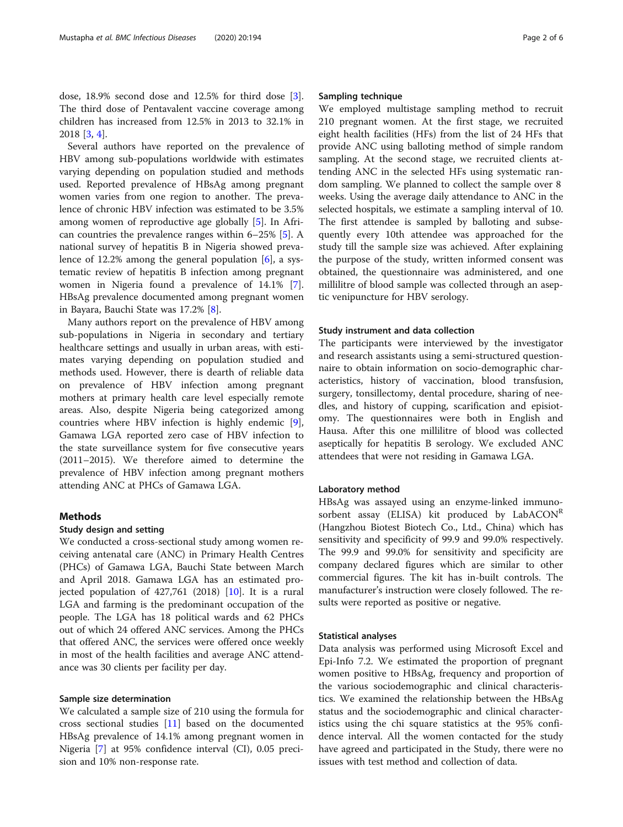dose, 18.9% second dose and 12.5% for third dose [\[3](#page-4-0)]. The third dose of Pentavalent vaccine coverage among children has increased from 12.5% in 2013 to 32.1% in 2018 [\[3](#page-4-0), [4](#page-4-0)].

Several authors have reported on the prevalence of HBV among sub-populations worldwide with estimates varying depending on population studied and methods used. Reported prevalence of HBsAg among pregnant women varies from one region to another. The prevalence of chronic HBV infection was estimated to be 3.5% among women of reproductive age globally [[5](#page-4-0)]. In African countries the prevalence ranges within 6–25% [\[5](#page-4-0)]. A national survey of hepatitis B in Nigeria showed prevalence of 12.2% among the general population  $[6]$  $[6]$ , a systematic review of hepatitis B infection among pregnant women in Nigeria found a prevalence of 14.1% [\[7](#page-4-0)]. HBsAg prevalence documented among pregnant women in Bayara, Bauchi State was 17.2% [\[8](#page-4-0)].

Many authors report on the prevalence of HBV among sub-populations in Nigeria in secondary and tertiary healthcare settings and usually in urban areas, with estimates varying depending on population studied and methods used. However, there is dearth of reliable data on prevalence of HBV infection among pregnant mothers at primary health care level especially remote areas. Also, despite Nigeria being categorized among countries where HBV infection is highly endemic [\[9](#page-4-0)], Gamawa LGA reported zero case of HBV infection to the state surveillance system for five consecutive years (2011–2015). We therefore aimed to determine the prevalence of HBV infection among pregnant mothers attending ANC at PHCs of Gamawa LGA.

#### **Methods**

#### Study design and setting

We conducted a cross-sectional study among women receiving antenatal care (ANC) in Primary Health Centres (PHCs) of Gamawa LGA, Bauchi State between March and April 2018. Gamawa LGA has an estimated projected population of  $427,761$  (2018) [[10](#page-4-0)]. It is a rural LGA and farming is the predominant occupation of the people. The LGA has 18 political wards and 62 PHCs out of which 24 offered ANC services. Among the PHCs that offered ANC, the services were offered once weekly in most of the health facilities and average ANC attendance was 30 clients per facility per day.

#### Sample size determination

We calculated a sample size of 210 using the formula for cross sectional studies [[11\]](#page-4-0) based on the documented HBsAg prevalence of 14.1% among pregnant women in Nigeria [[7\]](#page-4-0) at 95% confidence interval (CI), 0.05 precision and 10% non-response rate.

#### Sampling technique

We employed multistage sampling method to recruit 210 pregnant women. At the first stage, we recruited eight health facilities (HFs) from the list of 24 HFs that provide ANC using balloting method of simple random sampling. At the second stage, we recruited clients attending ANC in the selected HFs using systematic random sampling. We planned to collect the sample over 8 weeks. Using the average daily attendance to ANC in the selected hospitals, we estimate a sampling interval of 10. The first attendee is sampled by balloting and subsequently every 10th attendee was approached for the study till the sample size was achieved. After explaining the purpose of the study, written informed consent was obtained, the questionnaire was administered, and one millilitre of blood sample was collected through an aseptic venipuncture for HBV serology.

#### Study instrument and data collection

The participants were interviewed by the investigator and research assistants using a semi-structured questionnaire to obtain information on socio-demographic characteristics, history of vaccination, blood transfusion, surgery, tonsillectomy, dental procedure, sharing of needles, and history of cupping, scarification and episiotomy. The questionnaires were both in English and Hausa. After this one millilitre of blood was collected aseptically for hepatitis B serology. We excluded ANC attendees that were not residing in Gamawa LGA.

#### Laboratory method

HBsAg was assayed using an enzyme-linked immunosorbent assay (ELISA) kit produced by  $LabACON<sup>K</sup>$ (Hangzhou Biotest Biotech Co., Ltd., China) which has sensitivity and specificity of 99.9 and 99.0% respectively. The 99.9 and 99.0% for sensitivity and specificity are company declared figures which are similar to other commercial figures. The kit has in-built controls. The manufacturer's instruction were closely followed. The results were reported as positive or negative.

#### Statistical analyses

Data analysis was performed using Microsoft Excel and Epi-Info 7.2. We estimated the proportion of pregnant women positive to HBsAg, frequency and proportion of the various sociodemographic and clinical characteristics. We examined the relationship between the HBsAg status and the sociodemographic and clinical characteristics using the chi square statistics at the 95% confidence interval. All the women contacted for the study have agreed and participated in the Study, there were no issues with test method and collection of data.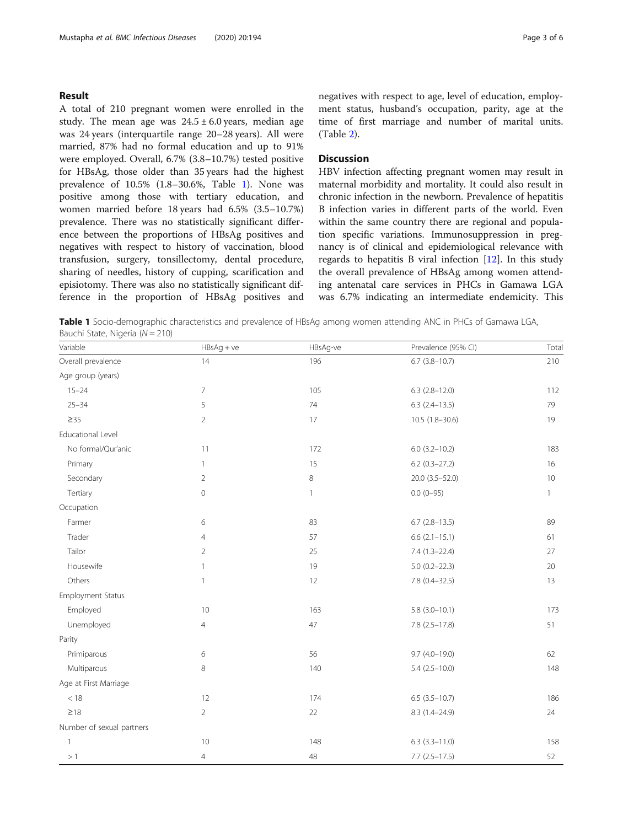#### Result

A total of 210 pregnant women were enrolled in the study. The mean age was  $24.5 \pm 6.0$  years, median age was 24 years (interquartile range 20–28 years). All were married, 87% had no formal education and up to 91% were employed. Overall, 6.7% (3.8–10.7%) tested positive for HBsAg, those older than 35 years had the highest prevalence of 10.5% (1.8–30.6%, Table 1). None was positive among those with tertiary education, and women married before 18 years had 6.5% (3.5–10.7%) prevalence. There was no statistically significant difference between the proportions of HBsAg positives and negatives with respect to history of vaccination, blood transfusion, surgery, tonsillectomy, dental procedure, sharing of needles, history of cupping, scarification and episiotomy. There was also no statistically significant difference in the proportion of HBsAg positives and

## **Discussion**

HBV infection affecting pregnant women may result in maternal morbidity and mortality. It could also result in chronic infection in the newborn. Prevalence of hepatitis B infection varies in different parts of the world. Even within the same country there are regional and population specific variations. Immunosuppression in pregnancy is of clinical and epidemiological relevance with regards to hepatitis B viral infection [\[12](#page-4-0)]. In this study the overall prevalence of HBsAg among women attending antenatal care services in PHCs in Gamawa LGA was 6.7% indicating an intermediate endemicity. This

Table 1 Socio-demographic characteristics and prevalence of HBsAg among women attending ANC in PHCs of Gamawa LGA, Bauchi State, Nigeria ( $N = 210$ )

| Variable                  | $HBSAg + ve$        | HBsAg-ve     | Prevalence (95% CI)  | Total        |
|---------------------------|---------------------|--------------|----------------------|--------------|
| Overall prevalence        | 14                  | 196          | $6.7$ (3.8-10.7)     | 210          |
| Age group (years)         |                     |              |                      |              |
| $15 - 24$                 | $\overline{7}$      | 105          | $6.3$ $(2.8-12.0)$   | 112          |
| $25 - 34$                 | 5                   | $74\,$       | $6.3$ $(2.4-13.5)$   | 79           |
| $\geq$ 35                 | $\overline{2}$      | 17           | $10.5(1.8-30.6)$     | 19           |
| Educational Level         |                     |              |                      |              |
| No formal/Qur'anic        | 11                  | 172          | $6.0$ (3.2-10.2)     | 183          |
| Primary                   | $\mathbf{1}$        | 15           | $6.2$ (0.3-27.2)     | 16           |
| Secondary                 | $\overline{2}$      | 8            | 20.0 (3.5-52.0)      | 10           |
| Tertiary                  | $\mathsf{O}\xspace$ | $\mathbf{1}$ | $0.0(0-95)$          | $\mathbf{1}$ |
| Occupation                |                     |              |                      |              |
| Farmer                    | 6                   | 83           | $6.7$ $(2.8-13.5)$   | 89           |
| Trader                    | $\overline{4}$      | 57           | $6.6$ $(2.1 - 15.1)$ | 61           |
| Tailor                    | $\overline{2}$      | 25           | 7.4 (1.3-22.4)       | 27           |
| Housewife                 | $\mathbf{1}$        | 19           | $5.0(0.2 - 22.3)$    | 20           |
| Others                    | 1                   | 12           | 7.8 (0.4-32.5)       | 13           |
| Employment Status         |                     |              |                      |              |
| Employed                  | $10\,$              | 163          | $5.8(3.0-10.1)$      | 173          |
| Unemployed                | $\overline{4}$      | 47           | $7.8$ $(2.5 - 17.8)$ | 51           |
| Parity                    |                     |              |                      |              |
| Primiparous               | 6                   | 56           | $9.7(4.0-19.0)$      | 62           |
| Multiparous               | 8                   | 140          | $5.4(2.5-10.0)$      | 148          |
| Age at First Marriage     |                     |              |                      |              |
| $<18\,$                   | 12                  | 174          | $6.5(3.5-10.7)$      | 186          |
| $\geq 18$                 | $\overline{2}$      | 22           | 8.3 (1.4-24.9)       | 24           |
| Number of sexual partners |                     |              |                      |              |
| $\mathbf{1}$              | 10                  | 148          | $6.3(3.3 - 11.0)$    | 158          |
| >1                        | $\overline{4}$      | 48           | $7.7(2.5-17.5)$      | 52           |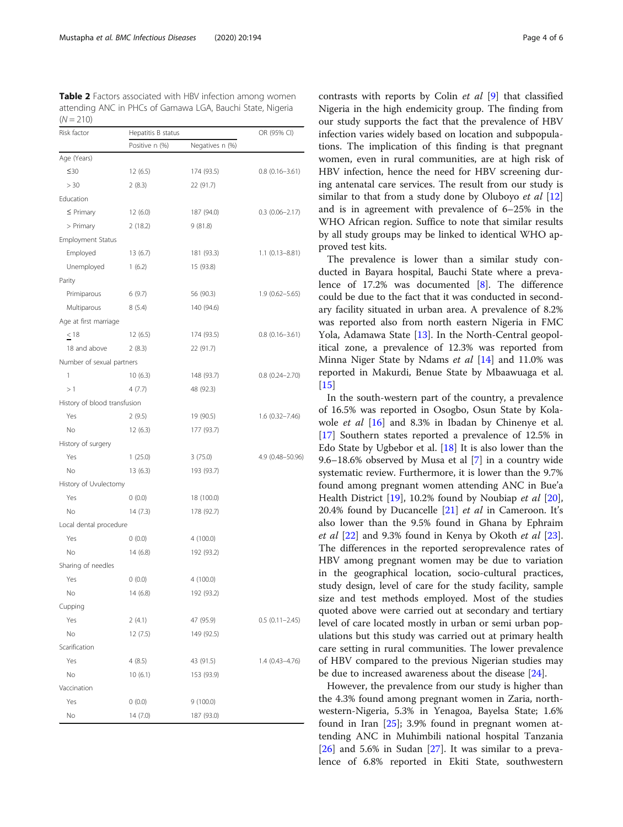<span id="page-3-0"></span>Table 2 Factors associated with HBV infection among women attending ANC in PHCs of Gamawa LGA, Bauchi State, Nigeria  $(N = 210)$ 

| Risk factor                  | Hepatitis B status                |            | OR (95% CI)           |  |
|------------------------------|-----------------------------------|------------|-----------------------|--|
|                              | Positive n (%)<br>Negatives n (%) |            |                       |  |
| Age (Years)                  |                                   |            |                       |  |
| $\leq 30$                    | 12(6.5)                           | 174 (93.5) | $0.8(0.16 - 3.61)$    |  |
| > 30                         | 2(8.3)                            | 22 (91.7)  |                       |  |
| Education                    |                                   |            |                       |  |
| $\leq$ Primary               | 12 (6.0)                          | 187 (94.0) | $0.3$ (0.06-2.17)     |  |
| > Primary                    | 2(18.2)                           | 9(81.8)    |                       |  |
| <b>Employment Status</b>     |                                   |            |                       |  |
| Employed                     | 13(6.7)                           | 181 (93.3) | $1.1 (0.13 - 8.81)$   |  |
| Unemployed                   | 1(6.2)                            | 15 (93.8)  |                       |  |
| Parity                       |                                   |            |                       |  |
| Primiparous                  | 6(9.7)                            | 56 (90.3)  | $1.9(0.62 - 5.65)$    |  |
| Multiparous                  | 8(5.4)                            | 140 (94.6) |                       |  |
| Age at first marriage        |                                   |            |                       |  |
| < 18                         | 12(6.5)                           | 174 (93.5) | $0.8(0.16 - 3.61)$    |  |
| 18 and above                 | 2(8.3)                            | 22 (91.7)  |                       |  |
| Number of sexual partners    |                                   |            |                       |  |
| 1                            | 10(6.3)                           | 148 (93.7) | $0.8$ $(0.24 - 2.70)$ |  |
| >1                           | 4(7.7)                            | 48 (92.3)  |                       |  |
| History of blood transfusion |                                   |            |                       |  |
| Yes                          | 2(9.5)                            | 19 (90.5)  | $1.6(0.32 - 7.46)$    |  |
| No                           | 12(6.3)                           | 177 (93.7) |                       |  |
| History of surgery           |                                   |            |                       |  |
| Yes                          | 1(25.0)                           | 3(75.0)    | 4.9 (0.48-50.96)      |  |
| No                           | 13(6.3)                           | 193 (93.7) |                       |  |
| History of Uvulectomy        |                                   |            |                       |  |
| Yes                          | (0.0)                             | 18 (100.0) |                       |  |
| No                           | 14(7.3)                           | 178 (92.7) |                       |  |
| Local dental procedure       |                                   |            |                       |  |
| Yes                          | (0.0)                             | 4 (100.0)  |                       |  |
| No                           | 14 (6.8)                          | 192 (93.2) |                       |  |
| Sharing of needles           |                                   |            |                       |  |
| Yes                          | 0(0.0)                            | 4 (100.0)  |                       |  |
| No                           | 14 (6.8)                          | 192 (93.2) |                       |  |
| Cupping                      |                                   |            |                       |  |
| Yes                          | 2(4.1)                            | 47 (95.9)  | $0.5(0.11 - 2.45)$    |  |
| No                           | 12(7.5)                           | 149 (92.5) |                       |  |
| Scarification                |                                   |            |                       |  |
| Yes                          | 4(8.5)                            | 43 (91.5)  | 1.4 (0.43-4.76)       |  |
| No                           | 10(6.1)                           | 153 (93.9) |                       |  |
| Vaccination                  |                                   |            |                       |  |
| Yes                          | 0(0.0)                            | 9 (100.0)  |                       |  |
| No                           | 14 (7.0)                          | 187 (93.0) |                       |  |

contrasts with reports by Colin et al [\[9](#page-4-0)] that classified Nigeria in the high endemicity group. The finding from our study supports the fact that the prevalence of HBV infection varies widely based on location and subpopulations. The implication of this finding is that pregnant women, even in rural communities, are at high risk of HBV infection, hence the need for HBV screening during antenatal care services. The result from our study is similar to that from a study done by Oluboyo *et al*  $[12]$  $[12]$  $[12]$ and is in agreement with prevalence of 6–25% in the WHO African region. Suffice to note that similar results by all study groups may be linked to identical WHO approved test kits.

The prevalence is lower than a similar study conducted in Bayara hospital, Bauchi State where a prevalence of 17.2% was documented [[8\]](#page-4-0). The difference could be due to the fact that it was conducted in secondary facility situated in urban area. A prevalence of 8.2% was reported also from north eastern Nigeria in FMC Yola, Adamawa State [[13\]](#page-4-0). In the North-Central geopolitical zone, a prevalence of 12.3% was reported from Minna Niger State by Ndams et al [[14\]](#page-4-0) and 11.0% was reported in Makurdi, Benue State by Mbaawuaga et al.  $[15]$  $[15]$ 

In the south-western part of the country, a prevalence of 16.5% was reported in Osogbo, Osun State by Kolawole et al [\[16](#page-5-0)] and 8.3% in Ibadan by Chinenye et al. [[17\]](#page-5-0) Southern states reported a prevalence of 12.5% in Edo State by Ugbebor et al. [\[18](#page-5-0)] It is also lower than the 9.6–18.6% observed by Musa et al [\[7](#page-4-0)] in a country wide systematic review. Furthermore, it is lower than the 9.7% found among pregnant women attending ANC in Bue'a Health District [[19\]](#page-5-0), 10.2% found by Noubiap et al [\[20](#page-5-0)], 20.4% found by Ducancelle  $[21]$  $[21]$  $[21]$  *et al* in Cameroon. It's also lower than the 9.5% found in Ghana by Ephraim et al [\[22\]](#page-5-0) and 9.3% found in Kenya by Okoth et al [\[23](#page-5-0)]. The differences in the reported seroprevalence rates of HBV among pregnant women may be due to variation in the geographical location, socio-cultural practices, study design, level of care for the study facility, sample size and test methods employed. Most of the studies quoted above were carried out at secondary and tertiary level of care located mostly in urban or semi urban populations but this study was carried out at primary health care setting in rural communities. The lower prevalence of HBV compared to the previous Nigerian studies may be due to increased awareness about the disease [\[24\]](#page-5-0).

However, the prevalence from our study is higher than the 4.3% found among pregnant women in Zaria, northwestern-Nigeria, 5.3% in Yenagoa, Bayelsa State; 1.6% found in Iran [\[25](#page-5-0)]; 3.9% found in pregnant women attending ANC in Muhimbili national hospital Tanzania  $[26]$  $[26]$  and 5.6% in Sudan  $[27]$  $[27]$ . It was similar to a prevalence of 6.8% reported in Ekiti State, southwestern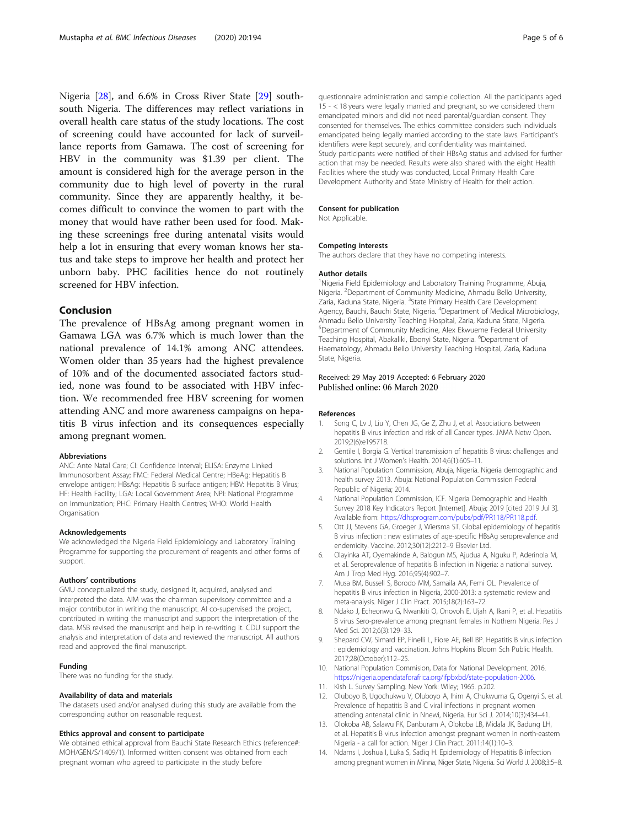<span id="page-4-0"></span>Nigeria [[28\]](#page-5-0), and 6.6% in Cross River State [\[29\]](#page-5-0) southsouth Nigeria. The differences may reflect variations in overall health care status of the study locations. The cost of screening could have accounted for lack of surveillance reports from Gamawa. The cost of screening for HBV in the community was \$1.39 per client. The amount is considered high for the average person in the community due to high level of poverty in the rural community. Since they are apparently healthy, it becomes difficult to convince the women to part with the money that would have rather been used for food. Making these screenings free during antenatal visits would help a lot in ensuring that every woman knows her status and take steps to improve her health and protect her unborn baby. PHC facilities hence do not routinely screened for HBV infection.

### Conclusion

The prevalence of HBsAg among pregnant women in Gamawa LGA was 6.7% which is much lower than the national prevalence of 14.1% among ANC attendees. Women older than 35 years had the highest prevalence of 10% and of the documented associated factors studied, none was found to be associated with HBV infection. We recommended free HBV screening for women attending ANC and more awareness campaigns on hepatitis B virus infection and its consequences especially among pregnant women.

#### Abbreviations

ANC: Ante Natal Care; CI: Confidence Interval; ELISA: Enzyme Linked Immunosorbent Assay; FMC: Federal Medical Centre; HBeAg: Hepatitis B envelope antigen; HBsAg: Hepatitis B surface antigen; HBV: Hepatitis B Virus; HF: Health Facility; LGA: Local Government Area; NPI: National Programme on Immunization; PHC: Primary Health Centres; WHO: World Health Organisation

#### Acknowledgements

We acknowledged the Nigeria Field Epidemiology and Laboratory Training Programme for supporting the procurement of reagents and other forms of support.

#### Authors' contributions

GMU conceptualized the study, designed it, acquired, analysed and interpreted the data. AIM was the chairman supervisory committee and a major contributor in writing the manuscript. AI co-supervised the project, contributed in writing the manuscript and support the interpretation of the data. MSB revised the manuscript and help in re-writing it. CDU support the analysis and interpretation of data and reviewed the manuscript. All authors read and approved the final manuscript.

#### Funding

There was no funding for the study.

#### Availability of data and materials

The datasets used and/or analysed during this study are available from the corresponding author on reasonable request.

#### Ethics approval and consent to participate

We obtained ethical approval from Bauchi State Research Ethics (reference#: MOH/GEN/S/1409/1). Informed written consent was obtained from each pregnant woman who agreed to participate in the study before

questionnaire administration and sample collection. All the participants aged 15 - < 18 years were legally married and pregnant, so we considered them emancipated minors and did not need parental/guardian consent. They consented for themselves. The ethics committee considers such individuals emancipated being legally married according to the state laws. Participant's identifiers were kept securely, and confidentiality was maintained. Study participants were notified of their HBsAg status and advised for further action that may be needed. Results were also shared with the eight Health Facilities where the study was conducted, Local Primary Health Care Development Authority and State Ministry of Health for their action.

#### Consent for publication

Not Applicable.

#### Competing interests

The authors declare that they have no competing interests.

#### Author details

<sup>1</sup>Nigeria Field Epidemiology and Laboratory Training Programme, Abuja, Nigeria. <sup>2</sup> Department of Community Medicine, Ahmadu Bello University, Zaria, Kaduna State, Nigeria. <sup>3</sup>State Primary Health Care Development Agency, Bauchi, Bauchi State, Nigeria. <sup>4</sup>Department of Medical Microbiology Ahmadu Bello University Teaching Hospital, Zaria, Kaduna State, Nigeria. 5 Department of Community Medicine, Alex Ekwueme Federal University Teaching Hospital, Abakaliki, Ebonyi State, Nigeria. <sup>6</sup>Department of Haematology, Ahmadu Bello University Teaching Hospital, Zaria, Kaduna State, Nigeria.

#### Received: 29 May 2019 Accepted: 6 February 2020 Published online: 06 March 2020

#### References

- 1. Song C, Lv J, Liu Y, Chen JG, Ge Z, Zhu J, et al. Associations between hepatitis B virus infection and risk of all Cancer types. JAMA Netw Open. 2019;2(6):e195718.
- 2. Gentile I, Borgia G. Vertical transmission of hepatitis B virus: challenges and solutions. Int J Women's Health. 2014;6(1):605–11.
- 3. National Population Commission, Abuja, Nigeria. Nigeria demographic and health survey 2013. Abuja: National Population Commission Federal Republic of Nigeria; 2014.
- 4. National Population Commission, ICF. Nigeria Demographic and Health Survey 2018 Key Indicators Report [Internet]. Abuja; 2019 [cited 2019 Jul 3]. Available from: <https://dhsprogram.com/pubs/pdf/PR118/PR118.pdf>.
- 5. Ott JJ, Stevens GA, Groeger J, Wiersma ST. Global epidemiology of hepatitis B virus infection : new estimates of age-specific HBsAg seroprevalence and endemicity. Vaccine. 2012;30(12):2212–9 Elsevier Ltd.
- 6. Olayinka AT, Oyemakinde A, Balogun MS, Ajudua A, Nguku P, Aderinola M, et al. Seroprevalence of hepatitis B infection in Nigeria: a national survey. Am J Trop Med Hyg. 2016;95(4):902–7.
- 7. Musa BM, Bussell S, Borodo MM, Samaila AA, Femi OL. Prevalence of hepatitis B virus infection in Nigeria, 2000-2013: a systematic review and meta-analysis. Niger J Clin Pract. 2015;18(2):163–72.
- Ndako J, Echeonwu G, Nwankiti O, Onovoh E, Ujah A, Ikani P, et al. Hepatitis B virus Sero-prevalence among pregnant females in Nothern Nigeria. Res J Med Sci. 2012;6(3):129–33.
- Shepard CW, Simard EP, Finelli L, Fiore AE, Bell BP. Hepatitis B virus infection : epidemiology and vaccination. Johns Hopkins Bloom Sch Public Health. 2017;28(October):112–25.
- 10. National Population Commision, Data for National Development. 2016. [https://nigeria.opendataforafrica.org/ifpbxbd/state-population-2006.](https://nigeria.opendataforafrica.org/ifpbxbd/state-population-2006)
- 11. Kish L. Survey Sampling. New York: Wiley; 1965. p.202.
- 12. Oluboyo B, Ugochukwu V, Oluboyo A, Ihim A, Chukwuma G, Ogenyi S, et al. Prevalence of hepatitis B and C viral infections in pregnant women attending antenatal clinic in Nnewi, Nigeria. Eur Sci J. 2014;10(3):434–41.
- 13. Olokoba AB, Salawu FK, Danburam A, Olokoba LB, Midala JK, Badung LH, et al. Hepatitis B virus infection amongst pregnant women in north-eastern Nigeria - a call for action. Niger J Clin Pract. 2011;14(1):10–3.
- 14. Ndams I, Joshua I, Luka S, Sadiq H. Epidemiology of Hepatitis B infection among pregnant women in Minna, Niger State, Nigeria. Sci World J. 2008;3:5–8.